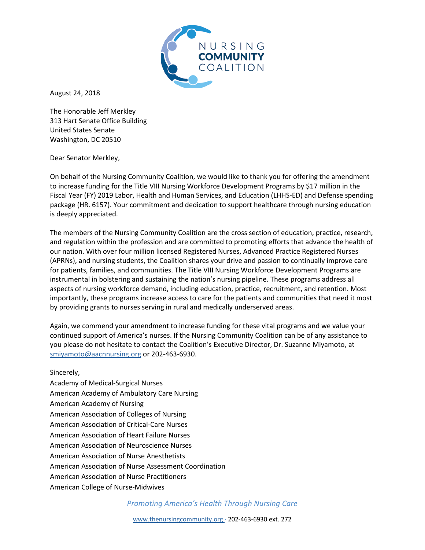

August 24, 2018

The Honorable Jeff Merkley 313 Hart Senate Office Building United States Senate Washington, DC 20510

Dear Senator Merkley,

On behalf of the Nursing Community Coalition, we would like to thank you for offering the amendment to increase funding for the Title VIII Nursing Workforce Development Programs by \$17 million in the Fiscal Year (FY) 2019 Labor, Health and Human Services, and Education (LHHS-ED) and Defense spending package (HR. 6157). Your commitment and dedication to support healthcare through nursing education is deeply appreciated.

The members of the Nursing Community Coalition are the cross section of education, practice, research, and regulation within the profession and are committed to promoting efforts that advance the health of our nation. With over four million licensed Registered Nurses, Advanced Practice Registered Nurses (APRNs), and nursing students, the Coalition shares your drive and passion to continually improve care for patients, families, and communities. The Title VIII Nursing Workforce Development Programs are instrumental in bolstering and sustaining the nation's nursing pipeline. These programs address all aspects of nursing workforce demand, including education, practice, recruitment, and retention. Most importantly, these programs increase access to care for the patients and communities that need it most by providing grants to nurses serving in rural and medically underserved areas.

Again, we commend your amendment to increase funding for these vital programs and we value your continued support of America's nurses. If the Nursing Community Coalition can be of any assistance to you please do not hesitate to contact the Coalition's Executive Director, Dr. Suzanne Miyamoto, at smiyamoto@aacnnursing.org or 202-463-6930.

Sincerely,

Academy of Medical-Surgical Nurses American Academy of Ambulatory Care Nursing American Academy of Nursing American Association of Colleges of Nursing American Association of Critical-Care Nurses American Association of Heart Failure Nurses American Association of Neuroscience Nurses American Association of Nurse Anesthetists American Association of Nurse Assessment Coordination American Association of Nurse Practitioners American College of Nurse-Midwives

*Promoting America's Health Through Nursing Care*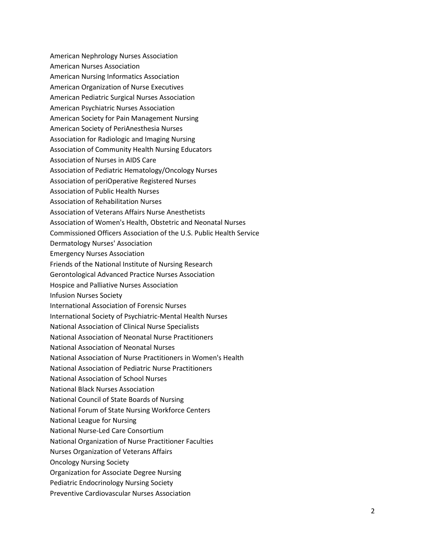American Nephrology Nurses Association American Nurses Association American Nursing Informatics Association American Organization of Nurse Executives American Pediatric Surgical Nurses Association American Psychiatric Nurses Association American Society for Pain Management Nursing American Society of PeriAnesthesia Nurses Association for Radiologic and Imaging Nursing Association of Community Health Nursing Educators Association of Nurses in AIDS Care Association of Pediatric Hematology/Oncology Nurses Association of periOperative Registered Nurses Association of Public Health Nurses Association of Rehabilitation Nurses Association of Veterans Affairs Nurse Anesthetists Association of Women's Health, Obstetric and Neonatal Nurses Commissioned Officers Association of the U.S. Public Health Service Dermatology Nurses' Association Emergency Nurses Association Friends of the National Institute of Nursing Research Gerontological Advanced Practice Nurses Association Hospice and Palliative Nurses Association Infusion Nurses Society International Association of Forensic Nurses International Society of Psychiatric-Mental Health Nurses National Association of Clinical Nurse Specialists National Association of Neonatal Nurse Practitioners National Association of Neonatal Nurses National Association of Nurse Practitioners in Women's Health National Association of Pediatric Nurse Practitioners National Association of School Nurses National Black Nurses Association National Council of State Boards of Nursing National Forum of State Nursing Workforce Centers National League for Nursing National Nurse-Led Care Consortium National Organization of Nurse Practitioner Faculties Nurses Organization of Veterans Affairs Oncology Nursing Society Organization for Associate Degree Nursing Pediatric Endocrinology Nursing Society Preventive Cardiovascular Nurses Association